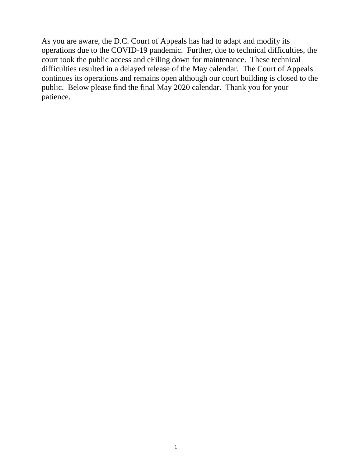As you are aware, the D.C. Court of Appeals has had to adapt and modify its operations due to the COVID-19 pandemic. Further, due to technical difficulties, the court took the public access and eFiling down for maintenance. These technical difficulties resulted in a delayed release of the May calendar. The Court of Appeals continues its operations and remains open although our court building is closed to the public. Below please find the final May 2020 calendar. Thank you for your patience.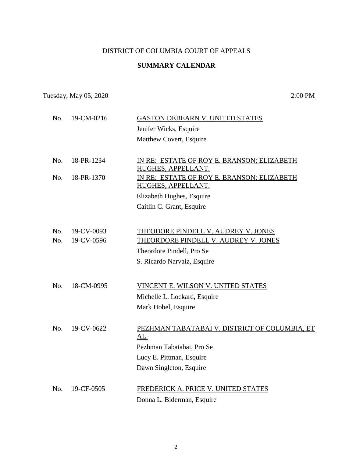## DISTRICT OF COLUMBIA COURT OF APPEALS

### **SUMMARY CALENDAR**

## Tuesday, May 05, 2020 2:00 PM

| No. | 19-CM-0216 | <b>GASTON DEBEARN V. UNITED STATES</b>               |
|-----|------------|------------------------------------------------------|
|     |            | Jenifer Wicks, Esquire                               |
|     |            | Matthew Covert, Esquire                              |
| No. | 18-PR-1234 | <u>IN RE: ESTATE OF ROY E. BRANSON; ELIZABETH</u>    |
|     |            | HUGHES, APPELLANT.                                   |
| No. | 18-PR-1370 | IN RE: ESTATE OF ROY E. BRANSON; ELIZABETH           |
|     |            | HUGHES, APPELLANT.                                   |
|     |            | Elizabeth Hughes, Esquire                            |
|     |            | Caitlin C. Grant, Esquire                            |
|     |            |                                                      |
| No. | 19-CV-0093 | THEODORE PINDELL V. AUDREY V. JONES                  |
| No. | 19-CV-0596 | THEORDORE PINDELL V. AUDREY V. JONES                 |
|     |            | Theordore Pindell, Pro Se                            |
|     |            | S. Ricardo Narvaiz, Esquire                          |
|     |            |                                                      |
| No. | 18-CM-0995 | VINCENT E. WILSON V. UNITED STATES                   |
|     |            | Michelle L. Lockard, Esquire                         |
|     |            | Mark Hobel, Esquire                                  |
|     |            |                                                      |
| No. | 19-CV-0622 | PEZHMAN TABATABAI V. DISTRICT OF COLUMBIA, ET<br>AL. |
|     |            | Pezhman Tabatabai, Pro Se                            |
|     |            | Lucy E. Pittman, Esquire                             |
|     |            | Dawn Singleton, Esquire                              |
|     |            |                                                      |
| No. | 19-CF-0505 | FREDERICK A. PRICE V. UNITED STATES                  |
|     |            | Donna L. Biderman, Esquire                           |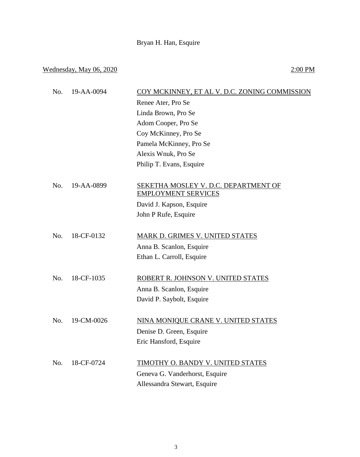# Bryan H. Han, Esquire

## Wednesday, May  $06, 2020$  2:00 PM

| COY MCKINNEY, ET AL V. D.C. ZONING COMMISSION                      |
|--------------------------------------------------------------------|
| Renee Ater, Pro Se                                                 |
| Linda Brown, Pro Se                                                |
| Adom Cooper, Pro Se                                                |
| Coy McKinney, Pro Se                                               |
| Pamela McKinney, Pro Se                                            |
| Alexis Wnuk, Pro Se                                                |
| Philip T. Evans, Esquire                                           |
| SEKETHA MOSLEY V. D.C. DEPARTMENT OF<br><b>EMPLOYMENT SERVICES</b> |
| David J. Kapson, Esquire                                           |
| John P Rufe, Esquire                                               |
| MARK D. GRIMES V. UNITED STATES                                    |
| Anna B. Scanlon, Esquire                                           |
| Ethan L. Carroll, Esquire                                          |
|                                                                    |
| ROBERT R. JOHNSON V. UNITED STATES                                 |
| Anna B. Scanlon, Esquire                                           |
| David P. Saybolt, Esquire                                          |
| NINA MONIQUE CRANE V. UNITED STATES                                |
| Denise D. Green, Esquire                                           |
| Eric Hansford, Esquire                                             |
| TIMOTHY O. BANDY V. UNITED STATES                                  |
| Geneva G. Vanderhorst, Esquire                                     |
| Allessandra Stewart, Esquire                                       |
|                                                                    |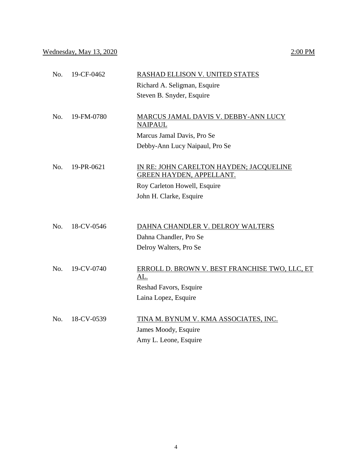|  | 2:00 PM |
|--|---------|
|  |         |

| No. | 19-CF-0462 | RASHAD ELLISON V. UNITED STATES                                     |
|-----|------------|---------------------------------------------------------------------|
|     |            | Richard A. Seligman, Esquire                                        |
|     |            | Steven B. Snyder, Esquire                                           |
| No. | 19-FM-0780 | <b>MARCUS JAMAL DAVIS V. DEBBY-ANN LUCY</b><br><b>NAIPAUL</b>       |
|     |            | Marcus Jamal Davis, Pro Se                                          |
|     |            | Debby-Ann Lucy Naipaul, Pro Se                                      |
| No. | 19-PR-0621 | IN RE: JOHN CARELTON HAYDEN; JACQUELINE<br>GREEN HAYDEN, APPELLANT. |
|     |            | Roy Carleton Howell, Esquire                                        |
|     |            | John H. Clarke, Esquire                                             |
|     |            |                                                                     |
| No. | 18-CV-0546 | DAHNA CHANDLER V. DELROY WALTERS                                    |
|     |            | Dahna Chandler, Pro Se                                              |
|     |            | Delroy Walters, Pro Se                                              |
| No. | 19-CV-0740 | ERROLL D. BROWN V. BEST FRANCHISE TWO, LLC, ET<br><u>AL.</u>        |
|     |            | Reshad Favors, Esquire                                              |
|     |            | Laina Lopez, Esquire                                                |
| No. | 18-CV-0539 | TINA M. BYNUM V. KMA ASSOCIATES, INC.                               |
|     |            | James Moody, Esquire                                                |
|     |            | Amy L. Leone, Esquire                                               |
|     |            |                                                                     |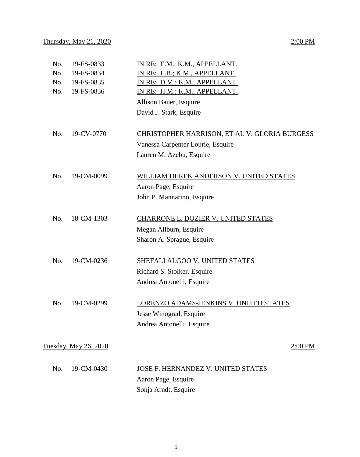| No. | 19-FS-0833            | IN RE: E.M.; K.M., APPELLANT.                 |
|-----|-----------------------|-----------------------------------------------|
| No. | 19-FS-0834            | IN RE: L.B.; K.M., APPELLANT.                 |
| No. | 19-FS-0835            | IN RE: D.M.; K.M., APPELLANT.                 |
| No. | 19-FS-0836            | IN RE: H.M.; K.M., APPELLANT.                 |
|     |                       | Allison Bauer, Esquire                        |
|     |                       | David J. Stark, Esquire                       |
| No. | 19-CV-0770            | CHRISTOPHER HARRISON, ET AL V. GLORIA BURGESS |
|     |                       | Vanessa Carpenter Lourie, Esquire             |
|     |                       | Lauren M. Azebu, Esquire                      |
| No. | 19-CM-0099            | WILLIAM DEREK ANDERSON V. UNITED STATES       |
|     |                       | Aaron Page, Esquire                           |
|     |                       | John P. Mannarino, Esquire                    |
| No. | 18-CM-1303            | CHARRONE L. DOZIER V. UNITED STATES           |
|     |                       | Megan Allburn, Esquire                        |
|     |                       | Sharon A. Sprague, Esquire                    |
| No. | 19-CM-0236            | SHEFALI ALGOO V. UNITED STATES                |
|     |                       | Richard S. Stolker, Esquire                   |
|     |                       | Andrea Antonelli, Esquire                     |
| No. | 19-CM-0299            | LORENZO ADAMS-JENKINS V. UNITED STATES        |
|     |                       | Jesse Winograd, Esquire                       |
|     |                       | Andrea Antonelli, Esquire                     |
|     | Tuesday, May 26, 2020 | 2:00 PM                                       |
|     |                       |                                               |
| No. | 19-CM-0430            | JOSE F. HERNANDEZ V. UNITED STATES            |
|     |                       | Aaron Page, Esquire                           |
|     |                       | Sonja Arndt, Esquire                          |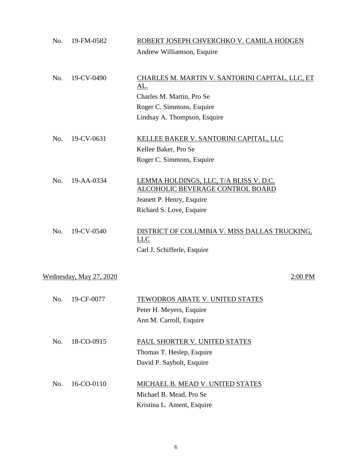| No. | 19-FM-0582              | ROBERT JOSEPH CHVERCHKO V. CAMILA HODGEN                    |
|-----|-------------------------|-------------------------------------------------------------|
|     |                         | Andrew Williamson, Esquire                                  |
|     |                         |                                                             |
| No. | 19-CV-0490              | CHARLES M. MARTIN V. SANTORINI CAPITAL, LLC, ET<br>AL.      |
|     |                         | Charles M. Martin, Pro Se                                   |
|     |                         | Roger C. Simmons, Esquire                                   |
|     |                         | Lindsay A. Thompson, Esquire                                |
|     |                         |                                                             |
| No. | 19-CV-0631              | KELLEE BAKER V. SANTORINI CAPITAL, LLC                      |
|     |                         | Kellee Baker, Pro Se                                        |
|     |                         | Roger C. Simmons, Esquire                                   |
| No. | 19-AA-0334              | LEMMA HOLDINGS, LLC, T/A BLISS V. D.C.                      |
|     |                         | <b>ALCOHOLIC BEVERAGE CONTROL BOARD</b>                     |
|     |                         | Jeanett P. Henry, Esquire                                   |
|     |                         | Richard S. Love, Esquire                                    |
| No. | 19-CV-0540              | DISTRICT OF COLUMBIA V. MISS DALLAS TRUCKING,<br><b>LLC</b> |
|     |                         | Carl J. Schifferle, Esquire                                 |
|     |                         |                                                             |
|     | Wednesday, May 27, 2020 | 2:00 PM                                                     |
|     |                         |                                                             |
| No. | 19-CF-0077              | <b>TEWODROS ABATE V. UNITED STATES</b>                      |
|     |                         | Peter H. Meyers, Esquire                                    |
|     |                         | Ann M. Carroll, Esquire                                     |
| No. | 18-CO-0915              | PAUL SHORTER V. UNITED STATES                               |
|     |                         | Thomas T. Heslep, Esquire                                   |
|     |                         | David P. Saybolt, Esquire                                   |
|     |                         |                                                             |
| No. | 16-CO-0110              | MICHAEL B. MEAD V. UNITED STATES                            |
|     |                         | Michael B. Mead, Pro Se                                     |
|     |                         | Kristina L. Ament, Esquire                                  |